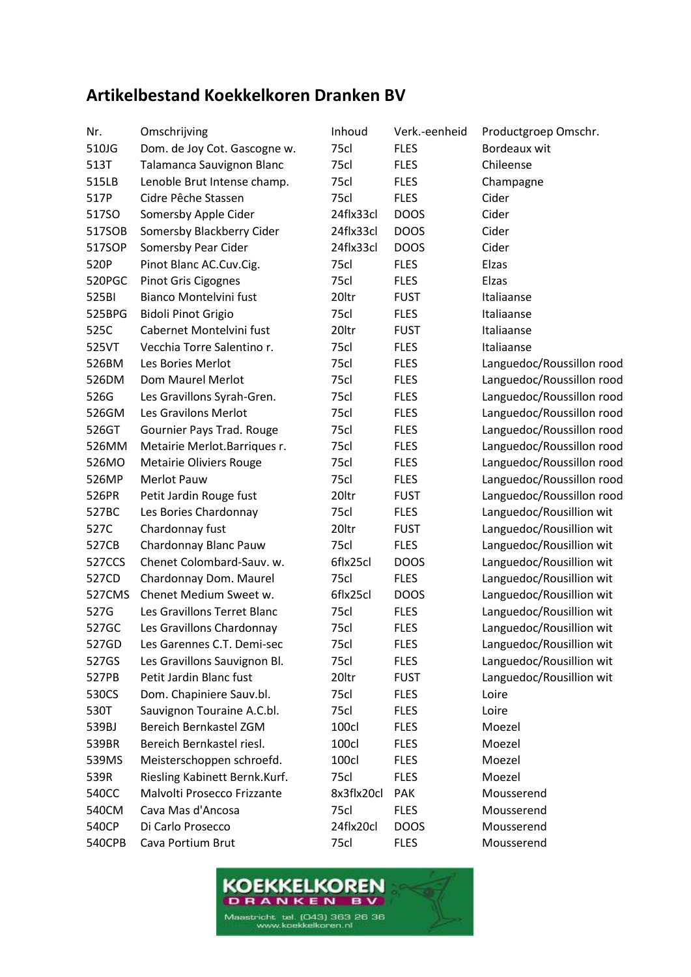## **Artikelbestand Koekkelkoren Dranken BV**

| Nr.    | Omschrijving                   | Inhoud     | Verk.-eenheid | Productgroep Omschr.      |
|--------|--------------------------------|------------|---------------|---------------------------|
| 510JG  | Dom. de Joy Cot. Gascogne w.   | 75cl       | <b>FLES</b>   | Bordeaux wit              |
| 513T   | Talamanca Sauvignon Blanc      | 75cl       | <b>FLES</b>   | Chileense                 |
| 515LB  | Lenoble Brut Intense champ.    | 75cl       | <b>FLES</b>   | Champagne                 |
| 517P   | Cidre Pêche Stassen            | 75cl       | <b>FLES</b>   | Cider                     |
| 517SO  | Somersby Apple Cider           | 24flx33cl  | <b>DOOS</b>   | Cider                     |
| 517SOB | Somersby Blackberry Cider      | 24flx33cl  | <b>DOOS</b>   | Cider                     |
| 517SOP | Somersby Pear Cider            | 24flx33cl  | <b>DOOS</b>   | Cider                     |
| 520P   | Pinot Blanc AC.Cuv.Cig.        | 75cl       | <b>FLES</b>   | Elzas                     |
| 520PGC | Pinot Gris Cigognes            | 75cl       | <b>FLES</b>   | Elzas                     |
| 525BI  | Bianco Montelvini fust         | 20ltr      | <b>FUST</b>   | Italiaanse                |
| 525BPG | <b>Bidoli Pinot Grigio</b>     | 75cl       | <b>FLES</b>   | Italiaanse                |
| 525C   | Cabernet Montelvini fust       | 20ltr      | <b>FUST</b>   | Italiaanse                |
| 525VT  | Vecchia Torre Salentino r.     | 75cl       | <b>FLES</b>   | Italiaanse                |
| 526BM  | Les Bories Merlot              | 75cl       | <b>FLES</b>   | Languedoc/Roussillon rood |
| 526DM  | Dom Maurel Merlot              | 75cl       | <b>FLES</b>   | Languedoc/Roussillon rood |
| 526G   | Les Gravillons Syrah-Gren.     | 75cl       | <b>FLES</b>   | Languedoc/Roussillon rood |
| 526GM  | Les Gravilons Merlot           | 75cl       | <b>FLES</b>   | Languedoc/Roussillon rood |
| 526GT  | Gournier Pays Trad. Rouge      | 75cl       | <b>FLES</b>   | Languedoc/Roussillon rood |
| 526MM  | Metairie Merlot.Barriques r.   | 75cl       | <b>FLES</b>   | Languedoc/Roussillon rood |
| 526MO  | <b>Metairie Oliviers Rouge</b> | 75cl       | <b>FLES</b>   | Languedoc/Roussillon rood |
| 526MP  | Merlot Pauw                    | 75cl       | <b>FLES</b>   | Languedoc/Roussillon rood |
| 526PR  | Petit Jardin Rouge fust        | 20ltr      | <b>FUST</b>   | Languedoc/Roussillon rood |
| 527BC  | Les Bories Chardonnay          | 75cl       | <b>FLES</b>   | Languedoc/Rousillion wit  |
| 527C   | Chardonnay fust                | 20ltr      | <b>FUST</b>   | Languedoc/Rousillion wit  |
| 527CB  | Chardonnay Blanc Pauw          | 75cl       | <b>FLES</b>   | Languedoc/Rousillion wit  |
| 527CCS | Chenet Colombard-Sauv. w.      | 6flx25cl   | <b>DOOS</b>   | Languedoc/Rousillion wit  |
| 527CD  | Chardonnay Dom. Maurel         | 75cl       | <b>FLES</b>   | Languedoc/Rousillion wit  |
| 527CMS | Chenet Medium Sweet w.         | 6flx25cl   | <b>DOOS</b>   | Languedoc/Rousillion wit  |
| 527G   | Les Gravillons Terret Blanc    | 75cl       | <b>FLES</b>   | Languedoc/Rousillion wit  |
| 527GC  | Les Gravillons Chardonnay      | 75cl       | <b>FLES</b>   | Languedoc/Rousillion wit  |
| 527GD  | Les Garennes C.T. Demi-sec     | 75cl       | <b>FLES</b>   | Languedoc/Rousillion wit  |
| 527GS  | Les Gravillons Sauvignon Bl.   | 75cl       | <b>FLES</b>   | Languedoc/Rousillion wit  |
| 527PB  | Petit Jardin Blanc fust        | 20ltr      | <b>FUST</b>   | Languedoc/Rousillion wit  |
| 530CS  | Dom. Chapiniere Sauv.bl.       | 75cl       | <b>FLES</b>   | Loire                     |
| 530T   | Sauvignon Touraine A.C.bl.     | 75cl       | <b>FLES</b>   | Loire                     |
| 539BJ  | Bereich Bernkastel ZGM         | 100cl      | <b>FLES</b>   | Moezel                    |
| 539BR  | Bereich Bernkastel riesl.      | 100cl      | <b>FLES</b>   | Moezel                    |
| 539MS  | Meisterschoppen schroefd.      | 100cl      | <b>FLES</b>   | Moezel                    |
| 539R   | Riesling Kabinett Bernk.Kurf.  | 75cl       | <b>FLES</b>   | Moezel                    |
| 540CC  | Malvolti Prosecco Frizzante    | 8x3flx20cl | <b>PAK</b>    | Mousserend                |
| 540CM  | Cava Mas d'Ancosa              | 75cl       | <b>FLES</b>   | Mousserend                |
| 540CP  | Di Carlo Prosecco              | 24flx20cl  | <b>DOOS</b>   | Mousserend                |
| 540CPB | Cava Portium Brut              | 75cl       | <b>FLES</b>   | Mousserend                |
|        |                                |            |               |                           |

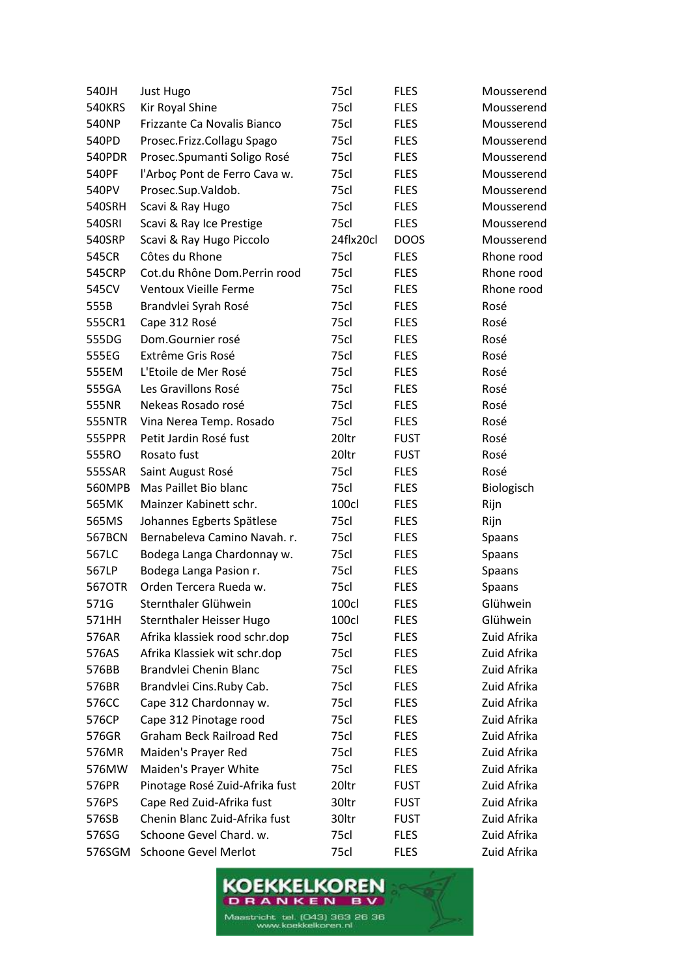| 540JH         | Just Hugo                      | 75cl      | <b>FLES</b> | Mousserend  |
|---------------|--------------------------------|-----------|-------------|-------------|
| <b>540KRS</b> | Kir Royal Shine                | 75cl      | <b>FLES</b> | Mousserend  |
| 540NP         | Frizzante Ca Novalis Bianco    | 75cl      | <b>FLES</b> | Mousserend  |
| 540PD         | Prosec.Frizz.Collagu Spago     | 75cl      | <b>FLES</b> | Mousserend  |
| <b>540PDR</b> | Prosec.Spumanti Soligo Rosé    | 75cl      | <b>FLES</b> | Mousserend  |
| 540PF         | l'Arboç Pont de Ferro Cava w.  | 75cl      | <b>FLES</b> | Mousserend  |
| 540PV         | Prosec.Sup.Valdob.             | 75cl      | <b>FLES</b> | Mousserend  |
| 540SRH        | Scavi & Ray Hugo               | 75cl      | <b>FLES</b> | Mousserend  |
| 540SRI        | Scavi & Ray Ice Prestige       | 75cl      | <b>FLES</b> | Mousserend  |
| 540SRP        | Scavi & Ray Hugo Piccolo       | 24flx20cl | <b>DOOS</b> | Mousserend  |
| 545CR         | Côtes du Rhone                 | 75cl      | <b>FLES</b> | Rhone rood  |
| <b>545CRP</b> | Cot.du Rhône Dom.Perrin rood   | 75cl      | <b>FLES</b> | Rhone rood  |
| 545CV         | Ventoux Vieille Ferme          | 75cl      | <b>FLES</b> | Rhone rood  |
| 555B          | Brandvlei Syrah Rosé           | 75cl      | <b>FLES</b> | Rosé        |
| 555CR1        | Cape 312 Rosé                  | 75cl      | <b>FLES</b> | Rosé        |
| 555DG         | Dom.Gournier rosé              | 75cl      | <b>FLES</b> | Rosé        |
| 555EG         | Extrême Gris Rosé              | 75cl      | <b>FLES</b> | Rosé        |
| 555EM         | L'Etoile de Mer Rosé           | 75cl      | <b>FLES</b> | Rosé        |
| 555GA         | Les Gravillons Rosé            | 75cl      | <b>FLES</b> | Rosé        |
| 555NR         | Nekeas Rosado rosé             | 75cl      | <b>FLES</b> | Rosé        |
| <b>555NTR</b> | Vina Nerea Temp. Rosado        | 75cl      | <b>FLES</b> | Rosé        |
| 555PPR        | Petit Jardin Rosé fust         | 20ltr     | <b>FUST</b> | Rosé        |
| 555RO         | Rosato fust                    | 20ltr     | <b>FUST</b> | Rosé        |
| 555SAR        | Saint August Rosé              | 75cl      | <b>FLES</b> | Rosé        |
| 560MPB        | Mas Paillet Bio blanc          | 75cl      | <b>FLES</b> | Biologisch  |
| 565MK         | Mainzer Kabinett schr.         | 100cl     | <b>FLES</b> | Rijn        |
| 565MS         | Johannes Egberts Spätlese      | 75cl      | <b>FLES</b> | Rijn        |
| 567BCN        | Bernabeleva Camino Navah. r.   | 75cl      | <b>FLES</b> | Spaans      |
| 567LC         | Bodega Langa Chardonnay w.     | 75cl      | <b>FLES</b> | Spaans      |
| 567LP         | Bodega Langa Pasion r.         | 75cl      | <b>FLES</b> | Spaans      |
| 5670TR        | Orden Tercera Rueda w.         | 75cl      | <b>FLES</b> | Spaans      |
| 571G          | Sternthaler Glühwein           | 100cl     | <b>FLES</b> | Glühwein    |
| 571HH         | Sternthaler Heisser Hugo       | 100cl     | <b>FLES</b> | Glühwein    |
| 576AR         | Afrika klassiek rood schr.dop  | 75cl      | <b>FLES</b> | Zuid Afrika |
| 576AS         | Afrika Klassiek wit schr.dop   | 75cl      | <b>FLES</b> | Zuid Afrika |
| 576BB         | Brandvlei Chenin Blanc         | 75cl      | <b>FLES</b> | Zuid Afrika |
| 576BR         | Brandvlei Cins.Ruby Cab.       | 75cl      | <b>FLES</b> | Zuid Afrika |
| 576CC         | Cape 312 Chardonnay w.         | 75cl      | <b>FLES</b> | Zuid Afrika |
| 576CP         | Cape 312 Pinotage rood         | 75cl      | <b>FLES</b> | Zuid Afrika |
| 576GR         | Graham Beck Railroad Red       | 75cl      | <b>FLES</b> | Zuid Afrika |
| 576MR         | Maiden's Prayer Red            | 75cl      | <b>FLES</b> | Zuid Afrika |
| 576MW         | Maiden's Prayer White          | 75cl      | <b>FLES</b> | Zuid Afrika |
| 576PR         | Pinotage Rosé Zuid-Afrika fust | 20ltr     | <b>FUST</b> | Zuid Afrika |
| 576PS         | Cape Red Zuid-Afrika fust      | 30ltr     | <b>FUST</b> | Zuid Afrika |
| 576SB         | Chenin Blanc Zuid-Afrika fust  | 30ltr     | <b>FUST</b> | Zuid Afrika |
| 576SG         | Schoone Gevel Chard. w.        | 75cl      | <b>FLES</b> | Zuid Afrika |
| 576SGM        | <b>Schoone Gevel Merlot</b>    | 75cl      | <b>FLES</b> | Zuid Afrika |